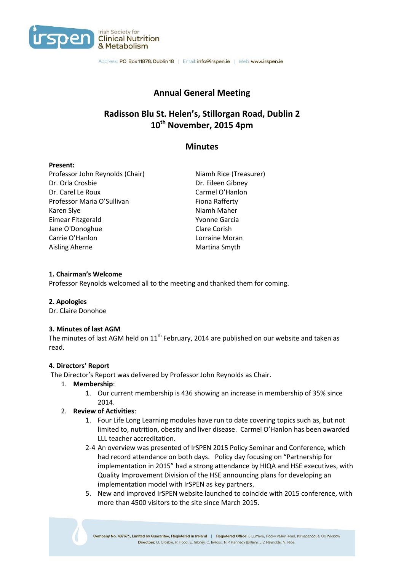

Address: PO Box 11878, Dublin 18 | Email: info@irspen.ie | Web: www.irspen.ie

# **Annual General Meeting**

# **Radisson Blu St. Helen's, Stillorgan Road, Dublin 2 10th November, 2015 4pm**

# **Minutes**

### **Present:**

Professor John Reynolds (Chair) Niamh Rice (Treasurer) Dr. Orla Crosbie Dr. Eileen Gibney Dr. Carel Le Roux Carmel O'Hanlon Professor Maria O'Sullivan Fiona Rafferty Karen Slye Niamh Maher Eimear Fitzgerald Yvonne Garcia Jane O'Donoghue Clare Corish Carrie O'Hanlon **Lorraine Moran** Aisling Aherne Martina Smyth

### **1. Chairman's Welcome**

Professor Reynolds welcomed all to the meeting and thanked them for coming.

### **2. Apologies**

Dr. Claire Donohoe

### **3. Minutes of last AGM**

The minutes of last AGM held on  $11<sup>th</sup>$  February, 2014 are published on our website and taken as read.

### **4. Directors' Report**

The Director's Report was delivered by Professor John Reynolds as Chair.

### 1. **Membership**:

1. Our current membership is 436 showing an increase in membership of 35% since 2014.

### 2. **Review of Activities**:

- 1. Four Life Long Learning modules have run to date covering topics such as, but not limited to, nutrition, obesity and liver disease. Carmel O'Hanlon has been awarded LLL teacher accreditation.
- 2-4 An overview was presented of IrSPEN 2015 Policy Seminar and Conference, which had record attendance on both days. Policy day focusing on "Partnership for implementation in 2015" had a strong attendance by HIQA and HSE executives, with Quality Improvement Division of the HSE announcing plans for developing an implementation model with IrSPEN as key partners.
- 5. New and improved IrSPEN website launched to coincide with 2015 conference, with more than 4500 visitors to the site since March 2015.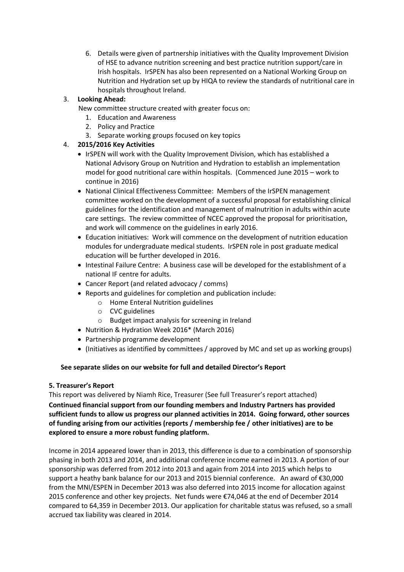6. Details were given of partnership initiatives with the Quality Improvement Division of HSE to advance nutrition screening and best practice nutrition support/care in Irish hospitals. IrSPEN has also been represented on a National Working Group on Nutrition and Hydration set up by HIQA to review the standards of nutritional care in hospitals throughout Ireland.

# 3. **Looking Ahead:**

New committee structure created with greater focus on:

- 1. Education and Awareness
- 2. Policy and Practice
- 3. Separate working groups focused on key topics

# 4. **2015/2016 Key Activities**

- IrSPEN will work with the Quality Improvement Division, which has established a National Advisory Group on Nutrition and Hydration to establish an implementation model for good nutritional care within hospitals. (Commenced June 2015 – work to continue in 2016)
- National Clinical Effectiveness Committee: Members of the IrSPEN management committee worked on the development of a successful proposal for establishing clinical guidelines for the identification and management of malnutrition in adults within acute care settings. The review committee of NCEC approved the proposal for prioritisation, and work will commence on the guidelines in early 2016.
- Education initiatives: Work will commence on the development of nutrition education modules for undergraduate medical students. IrSPEN role in post graduate medical education will be further developed in 2016.
- Intestinal Failure Centre: A business case will be developed for the establishment of a national IF centre for adults.
- Cancer Report (and related advocacy / comms)
- Reports and guidelines for completion and publication include:
	- o Home Enteral Nutrition guidelines
	- o CVC guidelines
	- o Budget impact analysis for screening in Ireland
- Nutrition & Hydration Week 2016\* (March 2016)
- Partnership programme development
- (Initiatives as identified by committees / approved by MC and set up as working groups)

### **See separate slides on our website for full and detailed Director's Report**

### **5. Treasurer's Report**

This report was delivered by Niamh Rice, Treasurer (See full Treasurer's report attached) **Continued financial support from our founding members and Industry Partners has provided sufficient funds to allow us progress our planned activities in 2014. Going forward, other sources of funding arising from our activities (reports / membership fee / other initiatives) are to be explored to ensure a more robust funding platform.** 

Income in 2014 appeared lower than in 2013, this difference is due to a combination of sponsorship phasing in both 2013 and 2014, and additional conference income earned in 2013. A portion of our sponsorship was deferred from 2012 into 2013 and again from 2014 into 2015 which helps to support a heathy bank balance for our 2013 and 2015 biennial conference. An award of €30,000 from the MNI/ESPEN in December 2013 was also deferred into 2015 income for allocation against 2015 conference and other key projects. Net funds were €74,046 at the end of December 2014 compared to 64,359 in December 2013. Our application for charitable status was refused, so a small accrued tax liability was cleared in 2014.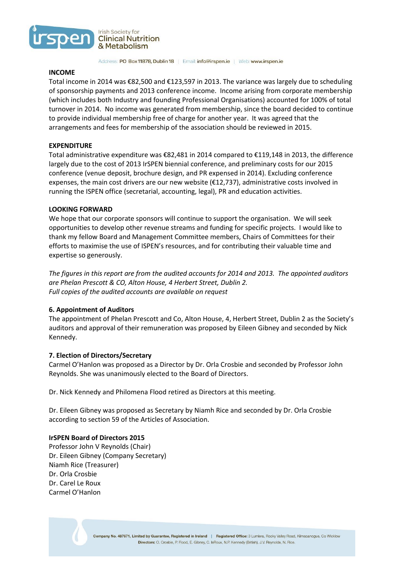

Address: PO Box 11878, Dublin 18 | Email: info@irspen.ie | Web: www.irspen.ie

#### **INCOME**

Total income in 2014 was €82,500 and €123,597 in 2013. The variance was largely due to scheduling of sponsorship payments and 2013 conference income. Income arising from corporate membership (which includes both Industry and founding Professional Organisations) accounted for 100% of total turnover in 2014. No income was generated from membership, since the board decided to continue to provide individual membership free of charge for another year. It was agreed that the arrangements and fees for membership of the association should be reviewed in 2015.

#### **EXPENDITURE**

Total administrative expenditure was €82,481 in 2014 compared to €119,148 in 2013, the difference largely due to the cost of 2013 IrSPEN biennial conference, and preliminary costs for our 2015 conference (venue deposit, brochure design, and PR expensed in 2014). Excluding conference expenses, the main cost drivers are our new website (€12,737), administrative costs involved in running the ISPEN office (secretarial, accounting, legal), PR and education activities.

#### **LOOKING FORWARD**

We hope that our corporate sponsors will continue to support the organisation. We will seek opportunities to develop other revenue streams and funding for specific projects. I would like to thank my fellow Board and Management Committee members, Chairs of Committees for their efforts to maximise the use of ISPEN's resources, and for contributing their valuable time and expertise so generously.

*The figures in this report are from the audited accounts for 2014 and 2013. The appointed auditors are Phelan Prescott & CO, Alton House, 4 Herbert Street, Dublin 2. Full copies of the audited accounts are available on request*

### **6. Appointment of Auditors**

The appointment of Phelan Prescott and Co, Alton House, 4, Herbert Street, Dublin 2 as the Society's auditors and approval of their remuneration was proposed by Eileen Gibney and seconded by Nick Kennedy.

#### **7. Election of Directors/Secretary**

Carmel O'Hanlon was proposed as a Director by Dr. Orla Crosbie and seconded by Professor John Reynolds. She was unanimously elected to the Board of Directors.

Dr. Nick Kennedy and Philomena Flood retired as Directors at this meeting.

Dr. Eileen Gibney was proposed as Secretary by Niamh Rice and seconded by Dr. Orla Crosbie according to section 59 of the Articles of Association.

#### **IrSPEN Board of Directors 2015**

Professor John V Reynolds (Chair) Dr. Eileen Gibney (Company Secretary) Niamh Rice (Treasurer) Dr. Orla Crosbie Dr. Carel Le Roux Carmel O'Hanlon